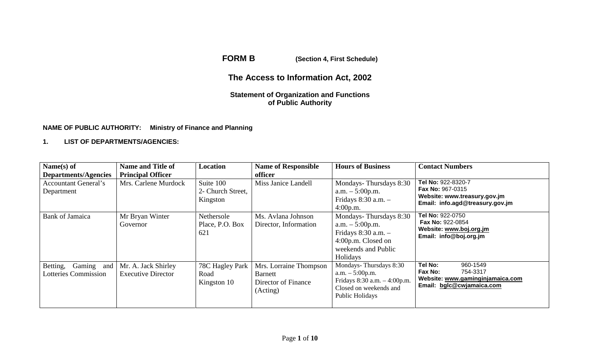**FORM B (Section 4, First Schedule)**

# **The Access to Information Act, 2002**

## **Statement of Organization and Functions of Public Authority**

## **NAME OF PUBLIC AUTHORITY: Ministry of Finance and Planning**

#### **1. LIST OF DEPARTMENTS/AGENCIES:**

| Name $(s)$ of<br>Departments/Agencies                 | <b>Name and Title of</b><br><b>Principal Officer</b> | Location                                   | <b>Name of Responsible</b><br>officer                                       | <b>Hours of Business</b>                                                                                                         | <b>Contact Numbers</b>                                                                                           |
|-------------------------------------------------------|------------------------------------------------------|--------------------------------------------|-----------------------------------------------------------------------------|----------------------------------------------------------------------------------------------------------------------------------|------------------------------------------------------------------------------------------------------------------|
| <b>Accountant General's</b><br>Department             | Mrs. Carlene Murdock                                 | Suite 100<br>2- Church Street,<br>Kingston | Miss Janice Landell                                                         | Mondays-Thursdays 8:30<br>$a.m. - 5:00 p.m.$<br>Fridays $8:30$ a.m. $-$<br>4:00p.m.                                              | Tel No: 922-8320-7<br><b>Fax No: 967-0315</b><br>Website: www.treasury.gov.jm<br>Email: info.agd@treasury.gov.jm |
| Bank of Jamaica                                       | Mr Bryan Winter<br>Governor                          | Nethersole<br>Place, P.O. Box<br>621       | Ms. Avlana Johnson<br>Director, Information                                 | Mondays-Thursdays 8:30<br>$a.m. - 5:00 p.m.$<br>Fridays $8:30$ a.m. $-$<br>4:00p.m. Closed on<br>weekends and Public<br>Holidays | Tel No: 922-0750<br><b>Fax No: 922-0854</b><br>Website: www.boj.org.jm<br>Email: info@boj.org.jm                 |
| Gaming and<br>Betting,<br><b>Lotteries Commission</b> | Mr. A. Jack Shirley<br><b>Executive Director</b>     | 78C Hagley Park<br>Road<br>Kingston 10     | Mrs. Lorraine Thompson<br><b>Barnett</b><br>Director of Finance<br>(Acting) | Mondays-Thursdays 8:30<br>$a.m. - 5:00p.m.$<br>Fridays $8:30$ a.m. $-4:00$ p.m.<br>Closed on weekends and<br>Public Holidays     | Tel No:<br>960-1549<br>754-3317<br>Fax No:<br>Website: www.gaminginjamaica.com<br>Email: bglc@cwjamaica.com      |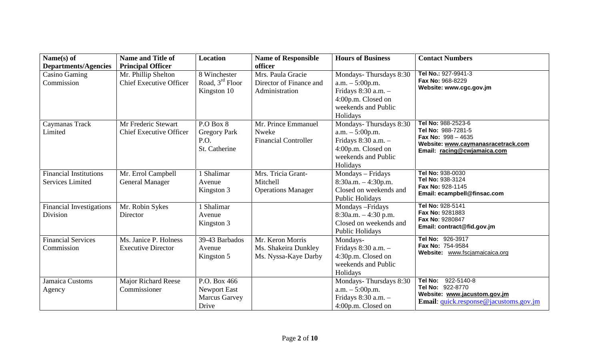| Name(s) of                                                 | <b>Name and Title of</b>                                                          | <b>Location</b>                                                      | <b>Name of Responsible</b>                                                | <b>Hours of Business</b>                                                                                                    | <b>Contact Numbers</b>                                                                                                                                  |
|------------------------------------------------------------|-----------------------------------------------------------------------------------|----------------------------------------------------------------------|---------------------------------------------------------------------------|-----------------------------------------------------------------------------------------------------------------------------|---------------------------------------------------------------------------------------------------------------------------------------------------------|
| <b>Departments/Agencies</b><br>Casino Gaming<br>Commission | <b>Principal Officer</b><br>Mr. Phillip Shelton<br><b>Chief Executive Officer</b> | 8 Winchester<br>Road, $3rd$ Floor<br>Kingston 10                     | officer<br>Mrs. Paula Gracie<br>Director of Finance and<br>Administration | Mondays-Thursdays 8:30<br>$a.m. - 5:00p.m.$<br>Fridays 8:30 a.m. -<br>4:00p.m. Closed on<br>weekends and Public<br>Holidays | Tel No.: 927-9941-3<br>Fax No: 968-8229<br>Website: www.cgc.gov.jm                                                                                      |
| Caymanas Track<br>Limited                                  | Mr Frederic Stewart<br><b>Chief Executive Officer</b>                             | P.O Box 8<br><b>Gregory Park</b><br>P.O.<br>St. Catherine            | Mr. Prince Emmanuel<br>Nweke<br><b>Financial Controller</b>               | Mondays-Thursdays 8:30<br>$a.m. - 5:00p.m.$<br>Fridays 8:30 a.m. -<br>4:00p.m. Closed on<br>weekends and Public<br>Holidays | Tel No: 988-2523-6<br>Tel No: 988-7281-5<br><b>Fax No: <math>998 - 4635</math></b><br>Website: www.caymanasracetrack.com<br>Email: racing@cwjamaica.com |
| <b>Financial Institutions</b><br><b>Services Limited</b>   | Mr. Errol Campbell<br><b>General Manager</b>                                      | 1 Shalimar<br>Avenue<br>Kingston 3                                   | Mrs. Tricia Grant-<br>Mitchell<br><b>Operations Manager</b>               | Mondays - Fridays<br>$8:30a.m. - 4:30p.m.$<br>Closed on weekends and<br>Public Holidays                                     | Tel No: 938-0030<br>Tel No: 938-3124<br>Fax No: 928-1145<br>Email: ecampbell@finsac.com                                                                 |
| <b>Financial Investigations</b><br>Division                | Mr. Robin Sykes<br>Director                                                       | 1 Shalimar<br>Avenue<br>Kingston 3                                   |                                                                           | Mondays - Fridays<br>$8:30a.m. - 4:30 p.m.$<br>Closed on weekends and<br>Public Holidays                                    | Tel No: 928-5141<br>Fax No: 9281883<br>Fax No: 9280847<br>Email: contract@fid.gov.jm                                                                    |
| <b>Financial Services</b><br>Commission                    | Ms. Janice P. Holness<br><b>Executive Director</b>                                | 39-43 Barbados<br>Avenue<br>Kingston 5                               | Mr. Keron Morris<br>Ms. Shakeira Dunkley<br>Ms. Nyssa-Kaye Darby          | Mondays-<br>Fridays 8:30 a.m. -<br>4:30p.m. Closed on<br>weekends and Public<br>Holidays                                    | Tel No: 926-3917<br>Fax No: 754-9584<br>Website: www.fscjamaicaica.org                                                                                  |
| Jamaica Customs<br>Agency                                  | <b>Major Richard Reese</b><br>Commissioner                                        | P.O. Box 466<br><b>Newport East</b><br><b>Marcus Garvey</b><br>Drive |                                                                           | Mondays-Thursdays 8:30<br>$a.m. - 5:00p.m.$<br>Fridays 8:30 a.m. -<br>4:00p.m. Closed on                                    | 922-5140-8<br>Tel No:<br>Tel No: 922-8770<br>Website: www.jacustom.gov.jm<br>Email: quick.response@jacustoms.gov.jm                                     |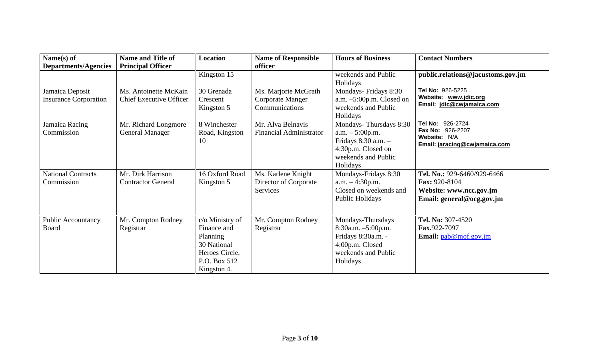| Name(s) of                                      | <b>Name and Title of</b>                                | <b>Location</b>                                                                                            | <b>Name of Responsible</b>                                 | <b>Hours of Business</b>                                                                                                     | <b>Contact Numbers</b>                                                                               |
|-------------------------------------------------|---------------------------------------------------------|------------------------------------------------------------------------------------------------------------|------------------------------------------------------------|------------------------------------------------------------------------------------------------------------------------------|------------------------------------------------------------------------------------------------------|
| <b>Departments/Agencies</b>                     | <b>Principal Officer</b>                                | Kingston 15                                                                                                | officer                                                    | weekends and Public<br>Holidays                                                                                              | public.relations@jacustoms.gov.jm                                                                    |
| Jamaica Deposit<br><b>Insurance Corporation</b> | Ms. Antoinette McKain<br><b>Chief Executive Officer</b> | 30 Grenada<br>Crescent<br>Kingston 5                                                                       | Ms. Marjorie McGrath<br>Corporate Manger<br>Communications | Mondays-Fridays 8:30<br>a.m. $-5:00$ p.m. Closed on<br>weekends and Public<br>Holidays                                       | Tel No: 926-5225<br>Website: www.jdic.org<br>Email: jdic@cwjamaica.com                               |
| Jamaica Racing<br>Commission                    | Mr. Richard Longmore<br><b>General Manager</b>          | 8 Winchester<br>Road, Kingston<br>10                                                                       | Mr. Alva Belnavis<br><b>Financial Administrator</b>        | Mondays-Thursdays 8:30<br>$a.m. - 5:00 p.m.$<br>Fridays 8:30 a.m. -<br>4:30p.m. Closed on<br>weekends and Public<br>Holidays | Tel No: 926-2724<br>Fax No: 926-2207<br>Website: N/A<br>Email: jaracing@cwjamaica.com                |
| <b>National Contracts</b><br>Commission         | Mr. Dirk Harrison<br><b>Contractor General</b>          | 16 Oxford Road<br>Kingston 5                                                                               | Ms. Karlene Knight<br>Director of Corporate<br>Services    | Mondays-Fridays 8:30<br>$a.m. -4:30p.m.$<br>Closed on weekends and<br>Public Holidays                                        | Tel. No.: 929-6460/929-6466<br>Fax: 920-8104<br>Website: www.ncc.gov.jm<br>Email: general@ocg.gov.jm |
| <b>Public Accountancy</b><br><b>Board</b>       | Mr. Compton Rodney<br>Registrar                         | c/o Ministry of<br>Finance and<br>Planning<br>30 National<br>Heroes Circle,<br>P.O. Box 512<br>Kingston 4. | Mr. Compton Rodney<br>Registrar                            | Mondays-Thursdays<br>8:30a.m. -5:00p.m.<br>Fridays 8:30a.m. -<br>4:00p.m. Closed<br>weekends and Public<br>Holidays          | Tel. No: 307-4520<br>Fax.922-7097<br>Email: pab@mof.gov.jm                                           |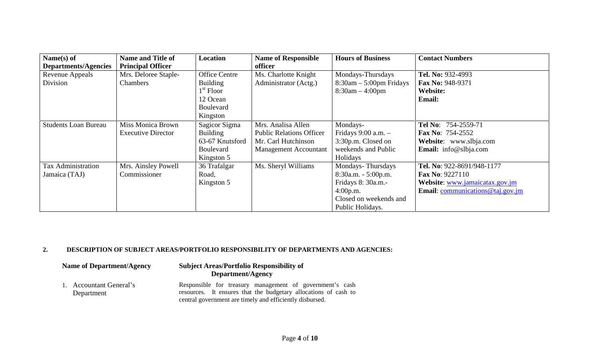| Name(s) of                  | <b>Name and Title of</b>  | Location             | <b>Name of Responsible</b>      | <b>Hours of Business</b>  | <b>Contact Numbers</b>                      |
|-----------------------------|---------------------------|----------------------|---------------------------------|---------------------------|---------------------------------------------|
| Departments/Agencies        | <b>Principal Officer</b>  |                      | officer                         |                           |                                             |
| Revenue Appeals             | Mrs. Deloree Staple-      | <b>Office Centre</b> | Ms. Charlotte Knight            | Mondays-Thursdays         | Tel. No: 932-4993                           |
| Division                    | <b>Chambers</b>           | <b>Building</b>      | Administrator (Actg.)           | $8:30am - 5:00pm$ Fridays | Fax No: 948-9371                            |
|                             |                           | $1st$ Floor          |                                 | $8:30am - 4:00pm$         | Website:                                    |
|                             |                           | 12 Ocean             |                                 |                           | <b>Email:</b>                               |
|                             |                           | <b>Boulevard</b>     |                                 |                           |                                             |
|                             |                           | Kingston             |                                 |                           |                                             |
| <b>Students Loan Bureau</b> | Miss Monica Brown         | Sagicor Sigma        | Mrs. Analisa Allen              | Mondays-                  | Tel No: 754-2559-71                         |
|                             | <b>Executive Director</b> | <b>Building</b>      | <b>Public Relations Officer</b> | Fridays $9:00$ a.m. $-$   | <b>Fax No: 754-2552</b>                     |
|                             |                           | 63-67 Knutsford      | Mr. Carl Hutchinson             | 3:30p.m. Closed on        | Website: www.slbja.com                      |
|                             |                           | <b>Boulevard</b>     | <b>Management Accountant</b>    | weekends and Public       | <b>Email:</b> info@slbja.com                |
|                             |                           | Kingston 5           |                                 | Holidays                  |                                             |
| <b>Tax Administration</b>   | Mrs. Ainsley Powell       | 36 Trafalgar         | Ms. Sheryl Williams             | Mondays-Thursdays         | Tel. No: 922-8691/948-1177                  |
| Jamaica (TAJ)               | Commissioner              | Road,                |                                 | $8:30a.m. - 5:00p.m.$     | <b>Fax No: 9227110</b>                      |
|                             |                           | Kingston 5           |                                 | Fridays 8: 30a.m.-        | Website: www.jamaicatax.gov.jm              |
|                             |                           |                      |                                 | 4:00p.m.                  | <b>Email:</b> communications $@$ taj.gov.jm |
|                             |                           |                      |                                 | Closed on weekends and    |                                             |
|                             |                           |                      |                                 | Public Holidays.          |                                             |

# **2. DESCRIPTION OF SUBJECT AREAS/PORTFOLIO RESPONSIBILITY OF DEPARTMENTS AND AGENCIES:**

| Name of Department/Agency             | <b>Subject Areas/Portfolio Responsibility of</b><br>Department/Agency                                                                                                                   |  |
|---------------------------------------|-----------------------------------------------------------------------------------------------------------------------------------------------------------------------------------------|--|
| 1. Accountant General's<br>Department | Responsible for treasury management of government's cash<br>resources. It ensures that the budgetary allocations of cash to<br>central government are timely and efficiently disbursed. |  |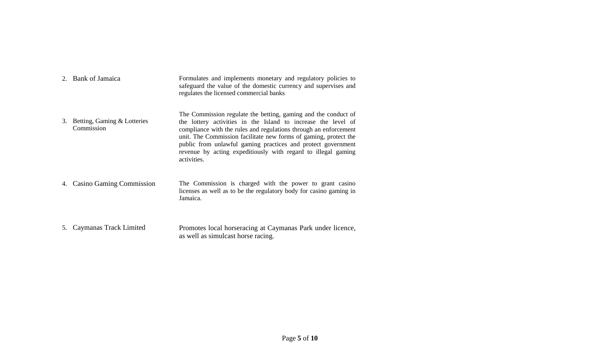|    | 2. Bank of Jamaica                        | Formulates and implements monetary and regulatory policies to<br>safeguard the value of the domestic currency and supervises and<br>regulates the licensed commercial banks                                                                                                                                                                                                                                             |
|----|-------------------------------------------|-------------------------------------------------------------------------------------------------------------------------------------------------------------------------------------------------------------------------------------------------------------------------------------------------------------------------------------------------------------------------------------------------------------------------|
| 3. | Betting, Gaming & Lotteries<br>Commission | The Commission regulate the betting, gaming and the conduct of<br>the lottery activities in the Island to increase the level of<br>compliance with the rules and regulations through an enforcement<br>unit. The Commission facilitate new forms of gaming, protect the<br>public from unlawful gaming practices and protect government<br>revenue by acting expeditiously with regard to illegal gaming<br>activities. |
| 4. | <b>Casino Gaming Commission</b>           | The Commission is charged with the power to grant casino<br>licenses as well as to be the regulatory body for casino gaming in<br>Jamaica.                                                                                                                                                                                                                                                                              |
| 5. | Caymanas Track Limited                    | Promotes local horseracing at Caymanas Park under licence,<br>as well as simulcast horse racing.                                                                                                                                                                                                                                                                                                                        |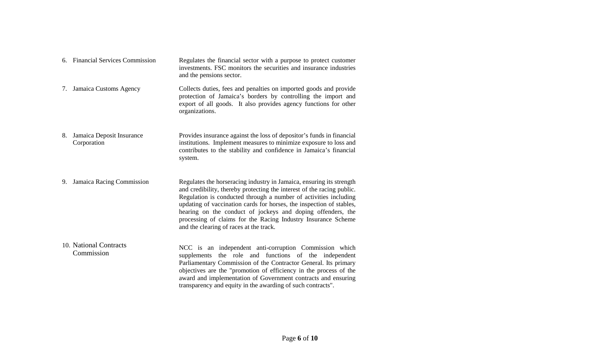|    | 6. Financial Services Commission         | Regulates the financial sector with a purpose to protect customer<br>investments. FSC monitors the securities and insurance industries<br>and the pensions sector.                                                                                                                                                                                                                                                                                                    |
|----|------------------------------------------|-----------------------------------------------------------------------------------------------------------------------------------------------------------------------------------------------------------------------------------------------------------------------------------------------------------------------------------------------------------------------------------------------------------------------------------------------------------------------|
|    | 7. Jamaica Customs Agency                | Collects duties, fees and penalties on imported goods and provide<br>protection of Jamaica's borders by controlling the import and<br>export of all goods. It also provides agency functions for other<br>organizations.                                                                                                                                                                                                                                              |
| 8. | Jamaica Deposit Insurance<br>Corporation | Provides insurance against the loss of depositor's funds in financial<br>institutions. Implement measures to minimize exposure to loss and<br>contributes to the stability and confidence in Jamaica's financial<br>system.                                                                                                                                                                                                                                           |
| 9. | Jamaica Racing Commission                | Regulates the horseracing industry in Jamaica, ensuring its strength<br>and credibility, thereby protecting the interest of the racing public.<br>Regulation is conducted through a number of activities including<br>updating of vaccination cards for horses, the inspection of stables,<br>hearing on the conduct of jockeys and doping offenders, the<br>processing of claims for the Racing Industry Insurance Scheme<br>and the clearing of races at the track. |
|    | 10. National Contracts<br>Commission     | NCC is an independent anti-corruption Commission which<br>supplements the role and functions of the independent<br>Parliamentary Commission of the Contractor General. Its primary<br>objectives are the "promotion of efficiency in the process of the<br>award and implementation of Government contracts and ensuring<br>transparency and equity in the awarding of such contracts".                                                                               |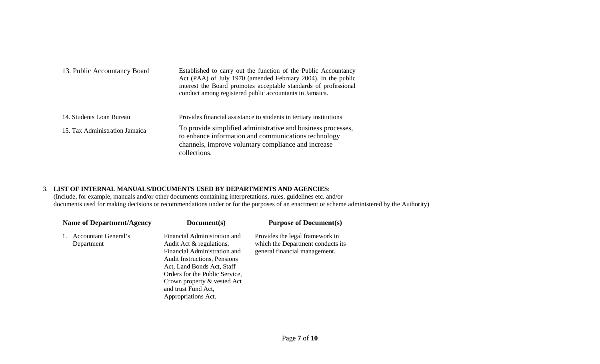| 13. Public Accountancy Board   | Established to carry out the function of the Public Accountancy<br>Act (PAA) of July 1970 (amended February 2004). In the public<br>interest the Board promotes acceptable standards of professional<br>conduct among registered public accountants in Jamaica. |  |
|--------------------------------|-----------------------------------------------------------------------------------------------------------------------------------------------------------------------------------------------------------------------------------------------------------------|--|
| 14. Students Loan Bureau       | Provides financial assistance to students in tertiary institutions                                                                                                                                                                                              |  |
| 15. Tax Administration Jamaica | To provide simplified administrative and business processes,<br>to enhance information and communications technology<br>channels, improve voluntary compliance and increase<br>collections.                                                                     |  |

#### 3. **LIST OF INTERNAL MANUALS/DOCUMENTS USED BY DEPARTMENTS AND AGENCIES**:

(Include, for example, manuals and/or other documents containing interpretations, rules, guidelines etc. and/or documents used for making decisions or recommendations under or for the purposes of an enactment or scheme administered by the Authority)

| <b>Name of Department/Agency</b>          | Document(s)                                                                                                                                                                                                                                                                  | <b>Purpose of Document(s)</b>                                                                         |
|-------------------------------------------|------------------------------------------------------------------------------------------------------------------------------------------------------------------------------------------------------------------------------------------------------------------------------|-------------------------------------------------------------------------------------------------------|
| <b>Accountant General's</b><br>Department | Financial Administration and<br>Audit Act & regulations,<br>Financial Administration and<br><b>Audit Instructions, Pensions</b><br>Act, Land Bonds Act, Staff<br>Orders for the Public Service,<br>Crown property & vested Act<br>and trust Fund Act,<br>Appropriations Act. | Provides the legal framework in<br>which the Department conducts its<br>general financial management. |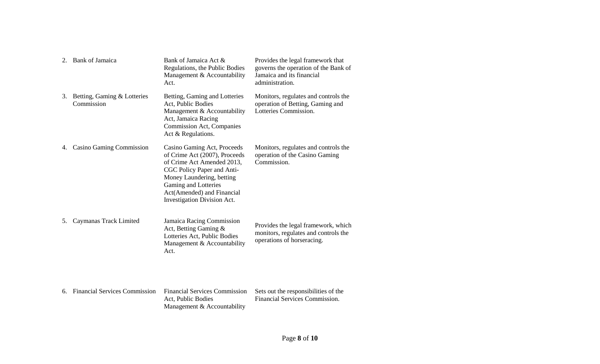| 2. | <b>Bank of Jamaica</b>                    | Bank of Jamaica Act &<br>Regulations, the Public Bodies<br>Management & Accountability<br>Act.                                                                                                                                             | Provides the legal framework that<br>governs the operation of the Bank of<br>Jamaica and its financial<br>administration. |
|----|-------------------------------------------|--------------------------------------------------------------------------------------------------------------------------------------------------------------------------------------------------------------------------------------------|---------------------------------------------------------------------------------------------------------------------------|
| 3. | Betting, Gaming & Lotteries<br>Commission | Betting, Gaming and Lotteries<br>Act, Public Bodies<br>Management & Accountability<br>Act, Jamaica Racing<br>Commission Act, Companies<br>Act & Regulations.                                                                               | Monitors, regulates and controls the<br>operation of Betting, Gaming and<br>Lotteries Commission.                         |
| 4. | <b>Casino Gaming Commission</b>           | Casino Gaming Act, Proceeds<br>of Crime Act (2007), Proceeds<br>of Crime Act Amended 2013,<br>CGC Policy Paper and Anti-<br>Money Laundering, betting<br>Gaming and Lotteries<br>Act(Amended) and Financial<br>Investigation Division Act. | Monitors, regulates and controls the<br>operation of the Casino Gaming<br>Commission.                                     |
| 5. | Caymanas Track Limited                    | Jamaica Racing Commission<br>Act, Betting Gaming &<br>Lotteries Act, Public Bodies<br>Management & Accountability<br>Act.                                                                                                                  | Provides the legal framework, which<br>monitors, regulates and controls the<br>operations of horseracing.                 |
| 6. | <b>Financial Services Commission</b>      | <b>Financial Services Commission</b><br>Act, Public Bodies<br>Management & Accountability                                                                                                                                                  | Sets out the responsibilities of the<br>Financial Services Commission.                                                    |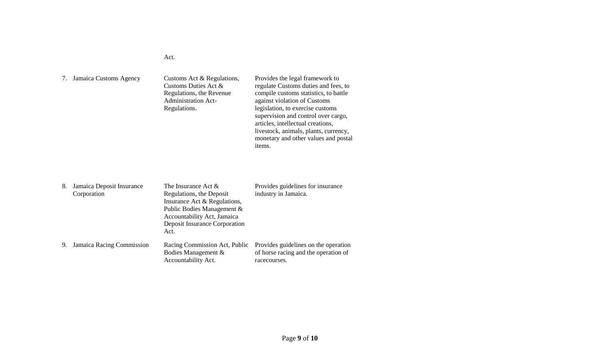#### Act.

| Jamaica Customs Agency | Customs Act & Regulations,<br>Customs Duties Act $\&$<br>Regulations, the Revenue<br><b>Administration Act-</b><br>Regulations. | Provides the legal framework to<br>regulate Customs duties and fees, to<br>compile customs statistics, to battle<br>against violation of Customs<br>legislation, to exercise customs<br>supervision and control over cargo,<br>articles, intellectual creations,<br>livestock, animals, plants, currency,<br>monetary and other values and postal<br>items. |  |
|------------------------|---------------------------------------------------------------------------------------------------------------------------------|-------------------------------------------------------------------------------------------------------------------------------------------------------------------------------------------------------------------------------------------------------------------------------------------------------------------------------------------------------------|--|
|------------------------|---------------------------------------------------------------------------------------------------------------------------------|-------------------------------------------------------------------------------------------------------------------------------------------------------------------------------------------------------------------------------------------------------------------------------------------------------------------------------------------------------------|--|

| 8. | Jamaica Deposit Insurance | The Insurance Act $\&$        | Provides guidelines for insurance    |
|----|---------------------------|-------------------------------|--------------------------------------|
|    | Corporation               | Regulations, the Deposit      | industry in Jamaica.                 |
|    |                           | Insurance Act & Regulations,  |                                      |
|    |                           | Public Bodies Management &    |                                      |
|    |                           | Accountability Act, Jamaica   |                                      |
|    |                           | Deposit Insurance Corporation |                                      |
|    |                           | Act.                          |                                      |
| 9. | Jamaica Racing Commission | Racing Commission Act, Public | Provides guidelines on the operation |
|    |                           | Bodies Management &           | of horse racing and the operation of |
|    |                           | Accountability Act.           | racecourses.                         |